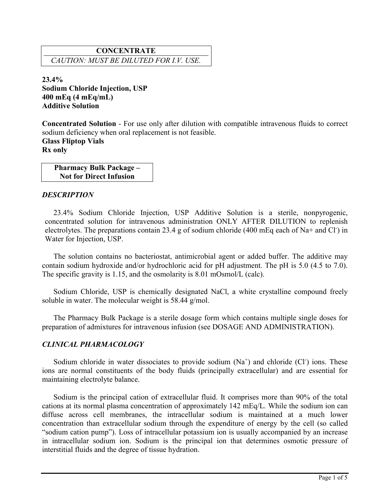# **CONCENTRATE** *CAUTION: MUST BE DILUTED FOR I.V. USE.*

**23.4% Sodium Chloride Injection, USP 400 mEq (4 mEq/mL) Additive Solution**

**Concentrated Solution** - For use only after dilution with compatible intravenous fluids to correct sodium deficiency when oral replacement is not feasible.

**Glass Fliptop Vials Rx only**

> **Pharmacy Bulk Package – Not for Direct Infusion**

### *DESCRIPTION*

23.4% Sodium Chloride Injection, USP Additive Solution is a sterile, nonpyrogenic, concentrated solution for intravenous administration ONLY AFTER DILUTION to replenish electrolytes. The preparations contain 23.4 g of sodium chloride (400 mEq each of Na+ and Cl<sup>-</sup>) in Water for Injection, USP.

The solution contains no bacteriostat, antimicrobial agent or added buffer. The additive may contain sodium hydroxide and/or hydrochloric acid for pH adjustment. The pH is 5.0 (4.5 to 7.0). The specific gravity is 1.15, and the osmolarity is 8.01 mOsmol/L (calc).

Sodium Chloride, USP is chemically designated NaCl, a white crystalline compound freely soluble in water. The molecular weight is 58.44 g/mol.

The Pharmacy Bulk Package is a sterile dosage form which contains multiple single doses for preparation of admixtures for intravenous infusion (see DOSAGE AND ADMINISTRATION).

## *CLINICAL PHARMACOLOGY*

Sodium chloride in water dissociates to provide sodium  $(Na<sup>+</sup>)$  and chloride (Cl<sup>-</sup>) ions. These ions are normal constituents of the body fluids (principally extracellular) and are essential for maintaining electrolyte balance.

Sodium is the principal cation of extracellular fluid. It comprises more than 90% of the total cations at its normal plasma concentration of approximately 142 mEq/L. While the sodium ion can diffuse across cell membranes, the intracellular sodium is maintained at a much lower concentration than extracellular sodium through the expenditure of energy by the cell (so called "sodium cation pump"). Loss of intracellular potassium ion is usually accompanied by an increase in intracellular sodium ion. Sodium is the principal ion that determines osmotic pressure of interstitial fluids and the degree of tissue hydration.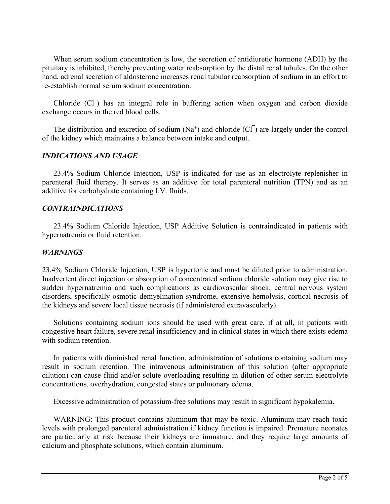When serum sodium concentration is low, the secretion of antidiuretic hormone (ADH) by the pituitary is inhibited, thereby preventing water reabsorption by the distal renal tubules. On the other hand, adrenal secretion of aldosterone increases renal tubular reabsorption of sodium in an effort to re-establish normal serum sodium concentration.

Chloride (Cl<sup>-</sup>) has an integral role in buffering action when oxygen and carbon dioxide exchange occurs in the red blood cells.

The distribution and excretion of sodium  $(Na^+)$  and chloride  $(CI)$  are largely under the control of the kidney which maintains a balance between intake and output.

### *INDICATIONS AND USAGE*

23.4% Sodium Chloride Injection, USP is indicated for use as an electrolyte replenisher in parenteral fluid therapy. It serves as an additive for total parenteral nutrition (TPN) and as an additive for carbohydrate containing I.V. fluids.

### *CONTRAINDICATIONS*

23.4% Sodium Chloride Injection, USP Additive Solution is contraindicated in patients with hypernatremia or fluid retention.

#### *WARNINGS*

23.4% Sodium Chloride Injection, USP is hypertonic and must be diluted prior to administration. Inadvertent direct injection or absorption of concentrated sodium chloride solution may give rise to sudden hypernatremia and such complications as cardiovascular shock, central nervous system disorders, specifically osmotic demyelination syndrome, extensive hemolysis, cortical necrosis of the kidneys and severe local tissue necrosis (if administered extravascularly).

Solutions containing sodium ions should be used with great care, if at all, in patients with congestive heart failure, severe renal insufficiency and in clinical states in which there exists edema with sodium retention.

In patients with diminished renal function, administration of solutions containing sodium may result in sodium retention. The intravenous administration of this solution (after appropriate dilution) can cause fluid and/or solute overloading resulting in dilution of other serum electrolyte concentrations, overhydration, congested states or pulmonary edema.

Excessive administration of potassium-free solutions may result in significant hypokalemia.

WARNING: This product contains aluminum that may be toxic. Aluminum may reach toxic levels with prolonged parenteral administration if kidney function is impaired. Premature neonates are particularly at risk because their kidneys are immature, and they require large amounts of calcium and phosphate solutions, which contain aluminum.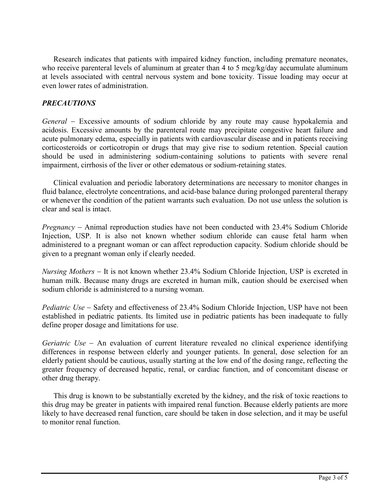Research indicates that patients with impaired kidney function, including premature neonates, who receive parenteral levels of aluminum at greater than 4 to 5 mcg/kg/day accumulate aluminum at levels associated with central nervous system and bone toxicity. Tissue loading may occur at even lower rates of administration.

# *PRECAUTIONS*

*General* Excessive amounts of sodium chloride by any route may cause hypokalemia and acidosis. Excessive amounts by the parenteral route may precipitate congestive heart failure and acute pulmonary edema, especially in patients with cardiovascular disease and in patients receiving corticosteroids or corticotropin or drugs that may give rise to sodium retention. Special caution should be used in administering sodium-containing solutions to patients with severe renal impairment, cirrhosis of the liver or other edematous or sodium-retaining states.

Clinical evaluation and periodic laboratory determinations are necessary to monitor changes in fluid balance, electrolyte concentrations, and acid-base balance during prolonged parenteral therapy or whenever the condition of the patient warrants such evaluation. Do not use unless the solution is clear and seal is intact.

*Pregnancy –* Animal reproduction studies have not been conducted with 23.4% Sodium Chloride Injection, USP. It is also not known whether sodium chloride can cause fetal harm when administered to a pregnant woman or can affect reproduction capacity. Sodium chloride should be given to a pregnant woman only if clearly needed.

*Nursing Mothers* – It is not known whether 23.4% Sodium Chloride Injection, USP is excreted in human milk. Because many drugs are excreted in human milk, caution should be exercised when sodium chloride is administered to a nursing woman.

*Pediatric Use* – Safety and effectiveness of 23.4% Sodium Chloride Injection, USP have not been established in pediatric patients. Its limited use in pediatric patients has been inadequate to fully define proper dosage and limitations for use.

*Geriatric Use* – An evaluation of current literature revealed no clinical experience identifying differences in response between elderly and younger patients. In general, dose selection for an elderly patient should be cautious, usually starting at the low end of the dosing range, reflecting the greater frequency of decreased hepatic, renal, or cardiac function, and of concomitant disease or other drug therapy.

This drug is known to be substantially excreted by the kidney, and the risk of toxic reactions to this drug may be greater in patients with impaired renal function. Because elderly patients are more likely to have decreased renal function, care should be taken in dose selection, and it may be useful to monitor renal function.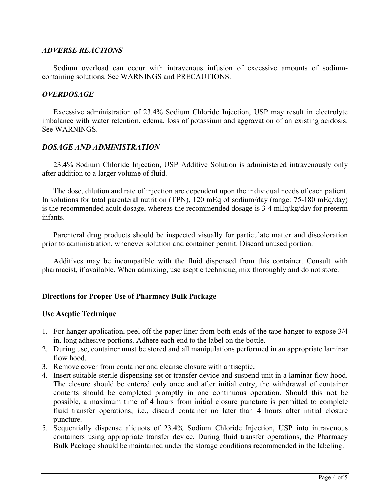#### *ADVERSE REACTIONS*

Sodium overload can occur with intravenous infusion of excessive amounts of sodiumcontaining solutions. See WARNINGS and PRECAUTIONS.

#### *OVERDOSAGE*

Excessive administration of 23.4% Sodium Chloride Injection, USP may result in electrolyte imbalance with water retention, edema, loss of potassium and aggravation of an existing acidosis. See WARNINGS.

## *DOSAGE AND ADMINISTRATION*

23.4% Sodium Chloride Injection, USP Additive Solution is administered intravenously only after addition to a larger volume of fluid.

The dose, dilution and rate of injection are dependent upon the individual needs of each patient. In solutions for total parenteral nutrition (TPN), 120 mEq of sodium/day (range: 75-180 mEq/day) is the recommended adult dosage, whereas the recommended dosage is 3-4 mEq/kg/day for preterm infants.

Parenteral drug products should be inspected visually for particulate matter and discoloration prior to administration, whenever solution and container permit. Discard unused portion.

Additives may be incompatible with the fluid dispensed from this container. Consult with pharmacist, if available. When admixing, use aseptic technique, mix thoroughly and do not store.

## **Directions for Proper Use of Pharmacy Bulk Package**

#### **Use Aseptic Technique**

- 1. For hanger application, peel off the paper liner from both ends of the tape hanger to expose 3/4 in. long adhesive portions. Adhere each end to the label on the bottle.
- 2. During use, container must be stored and all manipulations performed in an appropriate laminar flow hood.
- 3. Remove cover from container and cleanse closure with antiseptic.
- 4. Insert suitable sterile dispensing set or transfer device and suspend unit in a laminar flow hood. The closure should be entered only once and after initial entry, the withdrawal of container contents should be completed promptly in one continuous operation. Should this not be possible, a maximum time of 4 hours from initial closure puncture is permitted to complete fluid transfer operations; i.e., discard container no later than 4 hours after initial closure puncture.
- 5. Sequentially dispense aliquots of 23.4% Sodium Chloride Injection, USP into intravenous containers using appropriate transfer device. During fluid transfer operations, the Pharmacy Bulk Package should be maintained under the storage conditions recommended in the labeling.